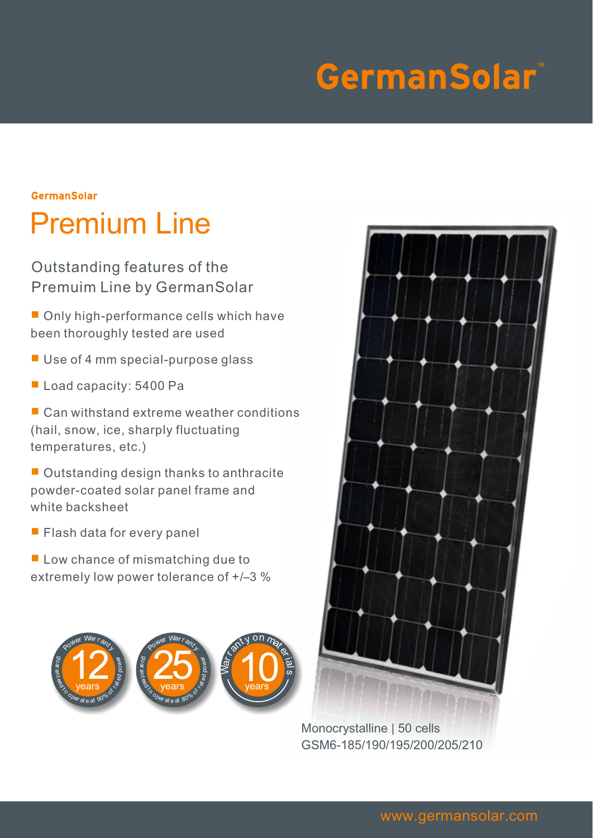# GermanSolar<sup>®</sup>

## **GermanSolar** Premium Line

Outstanding features of the Premuim Line by GermanSolar

■ Only high-performance cells which have been thoroughly tested are used

- Use of 4 mm special-purpose glass
- Load capacity: 5400 Pa

■ Can withstand extreme weather conditions (hail, snow, ice, sharply fluctuating temperatures, etc.)

■ Outstanding design thanks to anthracite powder-coated solar panel frame and white backsheet

■ Flash data for every panel

■ Low chance of mismatching due to extremely low power tolerance of +/–3 %





Monocrystalline | 50 cells GSM6-185/190/195/200/205/210